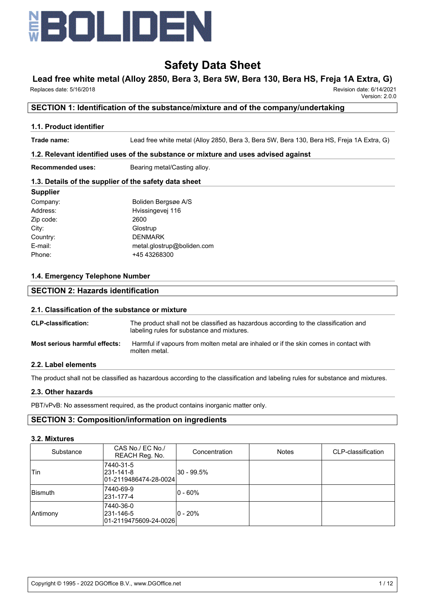

# **Lead free white metal (Alloy 2850, Bera 3, Bera 5W, Bera 130, Bera HS, Freja 1A Extra, G)**

Replaces date: 5/16/2018 Revision date: 6/14/2021

Version: 2.0.0

## **SECTION 1: Identification of the substance/mixture and of the company/undertaking**

#### **1.1. Product identifier**

**Trade name:** Lead free white metal (Alloy 2850, Bera 3, Bera 5W, Bera 130, Bera HS, Freja 1A Extra, G)

#### **1.2. Relevant identified uses of the substance or mixture and uses advised against**

**Recommended uses:** Bearing metal/Casting alloy.

#### **1.3. Details of the supplier of the safety data sheet**

| <b>Supplier</b> |                            |
|-----------------|----------------------------|
| Company:        | Boliden Bergsøe A/S        |
| Address:        | Hvissingevej 116           |
| Zip code:       | 2600                       |
| City:           | Glostrup                   |
| Country:        | <b>DENMARK</b>             |
| E-mail:         | metal.glostrup@boliden.com |
| Phone:          | +45 43268300               |

#### **1.4. Emergency Telephone Number**

## **SECTION 2: Hazards identification**

#### **2.1. Classification of the substance or mixture**

| <b>CLP-classification:</b>    | The product shall not be classified as hazardous according to the classification and<br>labeling rules for substance and mixtures. |
|-------------------------------|------------------------------------------------------------------------------------------------------------------------------------|
| Most serious harmful effects: | Harmful if vapours from molten metal are inhaled or if the skin comes in contact with<br>molten metal.                             |

#### **2.2. Label elements**

The product shall not be classified as hazardous according to the classification and labeling rules for substance and mixtures.

#### **2.3. Other hazards**

PBT/vPvB: No assessment required, as the product contains inorganic matter only.

### **SECTION 3: Composition/information on ingredients**

#### **3.2. Mixtures**

| Substance | CAS No./ EC No./<br>REACH Reg. No.              | Concentration | <b>Notes</b> | CLP-classification |
|-----------|-------------------------------------------------|---------------|--------------|--------------------|
| 'Tin      | 7440-31-5<br>231-141-8<br>01-2119486474-28-0024 | l30 - 99.5%   |              |                    |
| Bismuth   | 7440-69-9<br>231-177-4                          | $ 0 - 60\%$   |              |                    |
| Antimony  | 7440-36-0<br>231-146-5<br>01-2119475609-24-0026 | $ 0 - 20\% $  |              |                    |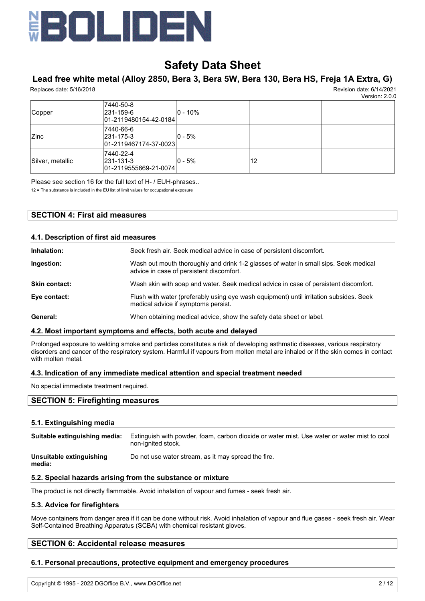

# **Lead free white metal (Alloy 2850, Bera 3, Bera 5W, Bera 130, Bera HS, Freja 1A Extra, G)**

Replaces date: 5/16/2018 Revision date: 6/14/2021

Version: 2.0.0

|                  |                                                           |              |    | version: 2.0.0 |
|------------------|-----------------------------------------------------------|--------------|----|----------------|
| Copper           | 7440-50-8<br> 231-159-6<br>01-2119480154-42-0184          | $ 0 - 10\% $ |    |                |
| <b>Zinc</b>      | 7440-66-6<br>231-175-3<br>01-2119467174-37-0023           | $ 0 - 5\% $  |    |                |
| Silver, metallic | 7440-22-4<br>231-131-3<br>$ 01 - 2119555669 - 21 - 0074 $ | l0 - 5%      | 12 |                |

Please see section 16 for the full text of H- / EUH-phrases..

12 = The substance is included in the EU list of limit values for occupational exposure

## **SECTION 4: First aid measures**

| 4.1. Description of first aid measures |                                                                                                                                  |  |  |
|----------------------------------------|----------------------------------------------------------------------------------------------------------------------------------|--|--|
| Inhalation:                            | Seek fresh air. Seek medical advice in case of persistent discomfort.                                                            |  |  |
| Ingestion:                             | Wash out mouth thoroughly and drink 1-2 glasses of water in small sips. Seek medical<br>advice in case of persistent discomfort. |  |  |
| <b>Skin contact:</b>                   | Wash skin with soap and water. Seek medical advice in case of persistent discomfort.                                             |  |  |
| Eye contact:                           | Flush with water (preferably using eye wash equipment) until irritation subsides. Seek<br>medical advice if symptoms persist.    |  |  |
| General:                               | When obtaining medical advice, show the safety data sheet or label.                                                              |  |  |

## **4.2. Most important symptoms and effects, both acute and delayed**

Prolonged exposure to welding smoke and particles constitutes a risk of developing asthmatic diseases, various respiratory disorders and cancer of the respiratory system. Harmful if vapours from molten metal are inhaled or if the skin comes in contact with molten metal.

### **4.3. Indication of any immediate medical attention and special treatment needed**

No special immediate treatment required.

#### **SECTION 5: Firefighting measures**

#### **5.1. Extinguishing media**

| Suitable extinguishing media:      | Extinguish with powder, foam, carbon dioxide or water mist. Use water or water mist to cool<br>non-ignited stock. |
|------------------------------------|-------------------------------------------------------------------------------------------------------------------|
| Unsuitable extinguishing<br>media: | Do not use water stream, as it may spread the fire.                                                               |

#### **5.2. Special hazards arising from the substance or mixture**

The product is not directly flammable. Avoid inhalation of vapour and fumes - seek fresh air.

#### **5.3. Advice for firefighters**

Move containers from danger area if it can be done without risk. Avoid inhalation of vapour and flue gases - seek fresh air. Wear Self-Contained Breathing Apparatus (SCBA) with chemical resistant gloves.

#### **SECTION 6: Accidental release measures**

#### **6.1. Personal precautions, protective equipment and emergency procedures**

Copyright © 1995 - 2022 DGOffice B.V., www.DGOffice.net 2 / 12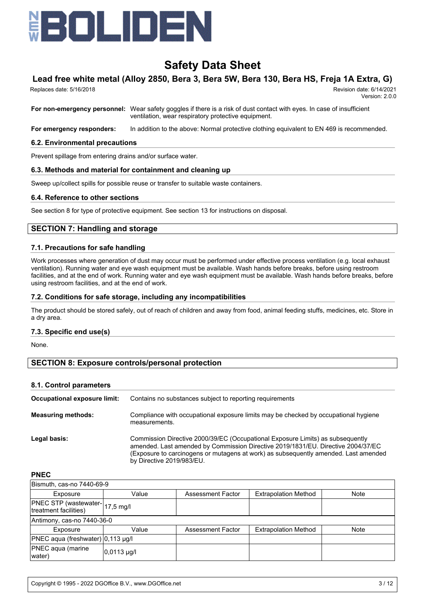

# **Lead free white metal (Alloy 2850, Bera 3, Bera 5W, Bera 130, Bera HS, Freja 1A Extra, G)**

 Replaces date: 5/16/2018 Revision date: 6/14/2021 Version: 2.0.0

**For non-emergency personnel:** Wear safety goggles if there is a risk of dust contact with eyes. In case of insufficient ventilation, wear respiratory protective equipment.

**For emergency responders:** In addition to the above: Normal protective clothing equivalent to EN 469 is recommended.

#### **6.2. Environmental precautions**

Prevent spillage from entering drains and/or surface water.

#### **6.3. Methods and material for containment and cleaning up**

Sweep up/collect spills for possible reuse or transfer to suitable waste containers.

#### **6.4. Reference to other sections**

See section 8 for type of protective equipment. See section 13 for instructions on disposal.

#### **SECTION 7: Handling and storage**

#### **7.1. Precautions for safe handling**

Work processes where generation of dust may occur must be performed under effective process ventilation (e.g. local exhaust ventilation). Running water and eye wash equipment must be available. Wash hands before breaks, before using restroom facilities, and at the end of work. Running water and eye wash equipment must be available. Wash hands before breaks, before using restroom facilities, and at the end of work.

#### **7.2. Conditions for safe storage, including any incompatibilities**

The product should be stored safely, out of reach of children and away from food, animal feeding stuffs, medicines, etc. Store in a dry area.

#### **7.3. Specific end use(s)**

None.

### **SECTION 8: Exposure controls/personal protection**

#### **8.1. Control parameters**

| Occupational exposure limit: | Contains no substances subject to reporting requirements                                                                                                                                                                                                                               |
|------------------------------|----------------------------------------------------------------------------------------------------------------------------------------------------------------------------------------------------------------------------------------------------------------------------------------|
| <b>Measuring methods:</b>    | Compliance with occupational exposure limits may be checked by occupational hygiene<br>measurements.                                                                                                                                                                                   |
| Legal basis:                 | Commission Directive 2000/39/EC (Occupational Exposure Limits) as subsequently<br>amended. Last amended by Commission Directive 2019/1831/EU. Directive 2004/37/EC<br>(Exposure to carcinogens or mutagens at work) as subsequently amended. Last amended<br>by Directive 2019/983/EU. |

**PNEC**

| Bismuth, cas-no 7440-69-9                               |                      |                   |                             |             |  |  |
|---------------------------------------------------------|----------------------|-------------------|-----------------------------|-------------|--|--|
| Exposure                                                | Value                | Assessment Factor | <b>Extrapolation Method</b> | Note        |  |  |
| PNEC STP (wastewater-17,5 mg/l<br>treatment facilities) |                      |                   |                             |             |  |  |
| Antimony, cas-no 7440-36-0                              |                      |                   |                             |             |  |  |
| Exposure                                                | Value                | Assessment Factor | <b>Extrapolation Method</b> | <b>Note</b> |  |  |
| PNEC aqua (freshwater) 0,113 µg/l                       |                      |                   |                             |             |  |  |
| <b>PNEC</b> aqua (marine<br>water)                      | $ 0,0113 \text{ µq}$ |                   |                             |             |  |  |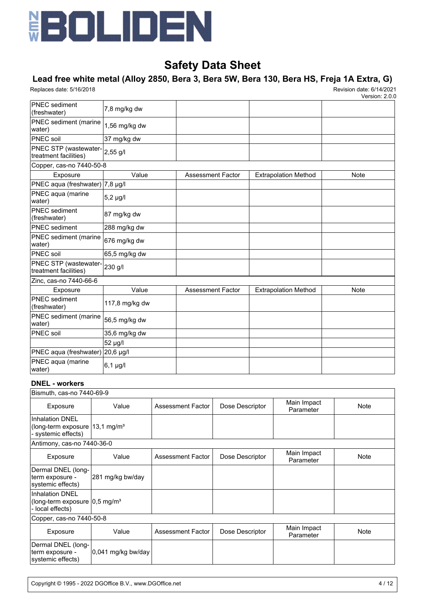

# **Lead free white metal (Alloy 2850, Bera 3, Bera 5W, Bera 130, Bera HS, Freja 1A Extra, G)**

Replaces date: 5/16/2018 Revision date: 6/14/2021

Version: 2.0.0

| <b>PNEC</b> sediment<br>(freshwater)           | 7,8 mg/kg dw   |                          |                             |             |
|------------------------------------------------|----------------|--------------------------|-----------------------------|-------------|
| PNEC sediment (marine<br>water)                | 1,56 mg/kg dw  |                          |                             |             |
| <b>PNEC</b> soil                               | 37 mg/kg dw    |                          |                             |             |
| PNEC STP (wastewater-<br>treatment facilities) | 2,55 g/l       |                          |                             |             |
| Copper, cas-no 7440-50-8                       |                |                          |                             |             |
| Exposure                                       | Value          | <b>Assessment Factor</b> | <b>Extrapolation Method</b> | Note        |
| PNEC aqua (freshwater) 7,8 µg/l                |                |                          |                             |             |
| PNEC aqua (marine<br>water)                    | $5,2 \mu g/l$  |                          |                             |             |
| <b>PNEC</b> sediment<br>(freshwater)           | 87 mg/kg dw    |                          |                             |             |
| PNEC sediment                                  | 288 mg/kg dw   |                          |                             |             |
| PNEC sediment (marine<br>water)                | 676 mg/kg dw   |                          |                             |             |
| <b>PNEC</b> soil                               | 65,5 mg/kg dw  |                          |                             |             |
| PNEC STP (wastewater-<br>treatment facilities) | 230 g/l        |                          |                             |             |
| Zinc, cas-no 7440-66-6                         |                |                          |                             |             |
| Exposure                                       | Value          | <b>Assessment Factor</b> | <b>Extrapolation Method</b> | <b>Note</b> |
| <b>PNEC</b> sediment<br>(freshwater)           | 117,8 mg/kg dw |                          |                             |             |
| PNEC sediment (marine<br>water)                | 56,5 mg/kg dw  |                          |                             |             |
| <b>PNEC</b> soil                               | 35,6 mg/kg dw  |                          |                             |             |
|                                                | 52 µg/l        |                          |                             |             |
| PNEC aqua (freshwater) 20,6 µg/l               |                |                          |                             |             |
| PNEC aqua (marine<br>water)                    | $6,1 \mu g/l$  |                          |                             |             |

### **DNEL - workers**

| Bismuth, cas-no 7440-69-9                                                                   |                    |                   |                 |                          |             |
|---------------------------------------------------------------------------------------------|--------------------|-------------------|-----------------|--------------------------|-------------|
| Exposure                                                                                    | Value              | Assessment Factor | Dose Descriptor | Main Impact<br>Parameter | Note        |
| <b>Inhalation DNEL</b><br>(long-term exposure 13,1 mg/m <sup>3</sup><br>- systemic effects) |                    |                   |                 |                          |             |
| Antimony, cas-no 7440-36-0                                                                  |                    |                   |                 |                          |             |
| Exposure                                                                                    | Value              | Assessment Factor | Dose Descriptor | Main Impact<br>Parameter | Note        |
| Dermal DNEL (long-<br>term exposure -<br>systemic effects)                                  | 281 mg/kg bw/day   |                   |                 |                          |             |
| <b>Inhalation DNEL</b><br>(long-term exposure  0,5 mg/m <sup>3</sup><br>- local effects)    |                    |                   |                 |                          |             |
| Copper, cas-no 7440-50-8                                                                    |                    |                   |                 |                          |             |
| Exposure                                                                                    | Value              | Assessment Factor | Dose Descriptor | Main Impact<br>Parameter | <b>Note</b> |
| Dermal DNEL (long-<br>term exposure -<br>systemic effects)                                  | 0,041 mg/kg bw/day |                   |                 |                          |             |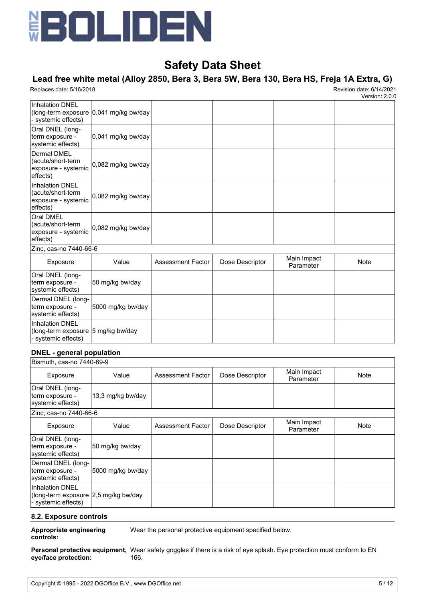

# **Lead free white metal (Alloy 2850, Bera 3, Bera 5W, Bera 130, Bera HS, Freja 1A Extra, G)**

Replaces date: 5/16/2018 Revision date: 6/14/2021

Version: 2.0.0

| <b>Inhalation DNEL</b><br>- systemic effects)                                        | (long-term exposure 0,041 mg/kg bw/day |                          |                 |                          |             |
|--------------------------------------------------------------------------------------|----------------------------------------|--------------------------|-----------------|--------------------------|-------------|
| Oral DNEL (long-<br>term exposure -<br>systemic effects)                             | 0,041 mg/kg bw/day                     |                          |                 |                          |             |
| Dermal DMEL<br>(acute/short-term<br>exposure - systemic<br>effects)                  | 0,082 mg/kg bw/day                     |                          |                 |                          |             |
| <b>Inhalation DNEL</b><br>(acute/short-term<br>exposure - systemic<br>effects)       | 0,082 mg/kg bw/day                     |                          |                 |                          |             |
| Oral DMEL<br>(acute/short-term<br>exposure - systemic<br>effects)                    | 0,082 mg/kg bw/day                     |                          |                 |                          |             |
| Zinc, cas-no 7440-66-6                                                               |                                        |                          |                 |                          |             |
| Exposure                                                                             | Value                                  | <b>Assessment Factor</b> | Dose Descriptor | Main Impact<br>Parameter | <b>Note</b> |
| Oral DNEL (long-<br>term exposure -<br>systemic effects)                             | 50 mg/kg bw/day                        |                          |                 |                          |             |
| Dermal DNEL (long-<br>term exposure -<br>systemic effects)                           | 5000 mg/kg bw/day                      |                          |                 |                          |             |
| <b>Inhalation DNEL</b><br>(long-term exposure  5 mg/kg bw/day<br>- systemic effects) |                                        |                          |                 |                          |             |

### **DNEL - general population**

| Bismuth, cas-no 7440-69-9                                                             |                   |                   |                 |                          |             |
|---------------------------------------------------------------------------------------|-------------------|-------------------|-----------------|--------------------------|-------------|
| Exposure                                                                              | Value             | Assessment Factor | Dose Descriptor | Main Impact<br>Parameter | Note        |
| Oral DNEL (long-<br>term exposure -<br>systemic effects)                              | 13,3 mg/kg bw/day |                   |                 |                          |             |
| Zinc, cas-no 7440-66-6                                                                |                   |                   |                 |                          |             |
| Exposure                                                                              | Value             | Assessment Factor | Dose Descriptor | Main Impact<br>Parameter | <b>Note</b> |
| Oral DNEL (long-<br>term exposure -<br>systemic effects)                              | 50 mg/kg bw/day   |                   |                 |                          |             |
| Dermal DNEL (long-<br>term exposure -<br>systemic effects)                            | 5000 mg/kg bw/day |                   |                 |                          |             |
| <b>Inhalation DNEL</b><br>(long-term exposure 2,5 mg/kg bw/day<br>- systemic effects) |                   |                   |                 |                          |             |

#### **8.2. Exposure controls**

**Appropriate engineering** Wear the personal protective equipment specified below.

## **controls:**

**Personal protective equipment,** Wear safety goggles if there is a risk of eye splash. Eye protection must conform to EN **eye/face protection:** 166.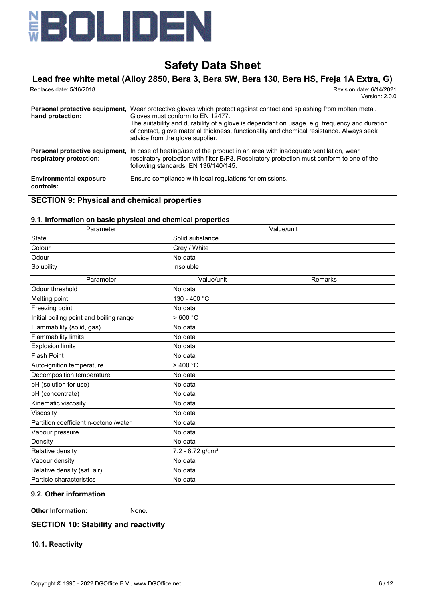

# **Lead free white metal (Alloy 2850, Bera 3, Bera 5W, Bera 130, Bera HS, Freja 1A Extra, G)**

| Replaces date: 5/16/2018                           | Revision date: 6/14/2021<br>Version: 2.0.0                                                                                                                                                                                                                                                                                                               |
|----------------------------------------------------|----------------------------------------------------------------------------------------------------------------------------------------------------------------------------------------------------------------------------------------------------------------------------------------------------------------------------------------------------------|
| Personal protective equipment,<br>hand protection: | Wear protective gloves which protect against contact and splashing from molten metal.<br>Gloves must conform to EN 12477.<br>The suitability and durability of a glove is dependant on usage, e.g. frequency and duration<br>of contact, glove material thickness, functionality and chemical resistance. Always seek<br>advice from the glove supplier. |
| respiratory protection:                            | <b>Personal protective equipment.</b> In case of heating/use of the product in an area with inadequate ventilation, wear<br>respiratory protection with filter B/P3. Respiratory protection must conform to one of the<br>following standards: EN 136/140/145.                                                                                           |
| <b>Environmental exposure</b><br>controls:         | Ensure compliance with local regulations for emissions.                                                                                                                                                                                                                                                                                                  |

## **SECTION 9: Physical and chemical properties**

#### **9.1. Information on basic physical and chemical properties**

| Parameter                               |                              | Value/unit |  |  |  |  |
|-----------------------------------------|------------------------------|------------|--|--|--|--|
| <b>State</b>                            | Solid substance              |            |  |  |  |  |
| Colour                                  | Grey / White                 |            |  |  |  |  |
| Odour                                   | No data                      |            |  |  |  |  |
| Solubility                              | Insoluble                    |            |  |  |  |  |
| Parameter                               | Value/unit                   | Remarks    |  |  |  |  |
| Odour threshold                         | No data                      |            |  |  |  |  |
| Melting point                           | 130 - 400 °C                 |            |  |  |  |  |
| Freezing point                          | No data                      |            |  |  |  |  |
| Initial boiling point and boiling range | >600 °C                      |            |  |  |  |  |
| Flammability (solid, gas)               | No data                      |            |  |  |  |  |
| <b>Flammability limits</b>              | No data                      |            |  |  |  |  |
| <b>Explosion limits</b>                 | No data                      |            |  |  |  |  |
| <b>Flash Point</b>                      | No data                      |            |  |  |  |  |
| Auto-ignition temperature               | >400 °C                      |            |  |  |  |  |
| Decomposition temperature               | No data                      |            |  |  |  |  |
| pH (solution for use)                   | No data                      |            |  |  |  |  |
| pH (concentrate)                        | No data                      |            |  |  |  |  |
| Kinematic viscosity                     | No data                      |            |  |  |  |  |
| Viscosity                               | No data                      |            |  |  |  |  |
| Partition coefficient n-octonol/water   | No data                      |            |  |  |  |  |
| Vapour pressure                         | No data                      |            |  |  |  |  |
| Density                                 | No data                      |            |  |  |  |  |
| Relative density                        | 7.2 - 8.72 g/cm <sup>3</sup> |            |  |  |  |  |
| Vapour density                          | No data                      |            |  |  |  |  |
| Relative density (sat. air)             | No data                      |            |  |  |  |  |
| Particle characteristics                | No data                      |            |  |  |  |  |

#### **9.2. Other information**

**Other Information:** None.

## **SECTION 10: Stability and reactivity**

## **10.1. Reactivity**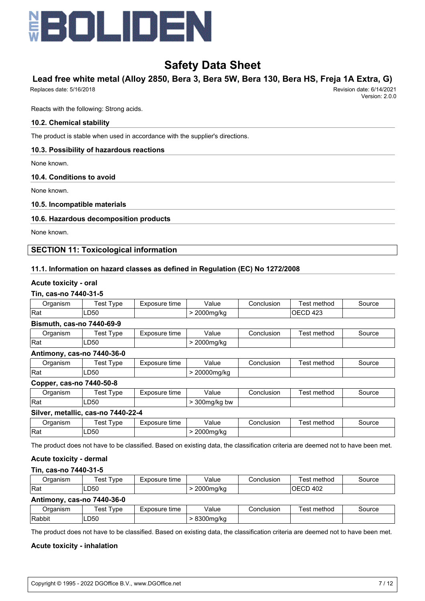

# **Lead free white metal (Alloy 2850, Bera 3, Bera 5W, Bera 130, Bera HS, Freja 1A Extra, G)**

Replaces date: 5/16/2018 Revision date: 6/14/2021

Reacts with the following: Strong acids.

#### **10.2. Chemical stability**

The product is stable when used in accordance with the supplier's directions.

#### **10.3. Possibility of hazardous reactions**

None known.

## **10.4. Conditions to avoid**

None known.

### **10.5. Incompatible materials**

#### **10.6. Hazardous decomposition products**

None known.

## **SECTION 11: Toxicological information**

### **11.1. Information on hazard classes as defined in Regulation (EC) No 1272/2008**

#### **Acute toxicity - oral**

### **Tin, cas-no 7440-31-5**

| Organism                         | <b>Test Type</b>                   | Exposure time | Value            | Conclusion | Test method | Source |
|----------------------------------|------------------------------------|---------------|------------------|------------|-------------|--------|
| Rat                              | LD50                               |               | > 2000mg/kg      | IOECD 423  |             |        |
| <b>Bismuth, cas-no 7440-69-9</b> |                                    |               |                  |            |             |        |
| Organism                         | <b>Test Type</b>                   | Exposure time | Value            | Conclusion | Test method | Source |
| Rat                              | LD50                               |               | > 2000mg/kg      |            |             |        |
| Antimony, cas-no 7440-36-0       |                                    |               |                  |            |             |        |
| Organism                         | <b>Test Type</b>                   | Exposure time | Value            | Conclusion | Test method | Source |
| <b>Rat</b>                       | LD50                               |               | > 20000mg/kg     |            |             |        |
| Copper, cas-no 7440-50-8         |                                    |               |                  |            |             |        |
| Organism                         | <b>Test Type</b>                   | Exposure time | Value            | Conclusion | Test method | Source |
| <b>Rat</b>                       | LD50                               |               | $>$ 300 mg/kg bw |            |             |        |
|                                  | Silver, metallic, cas-no 7440-22-4 |               |                  |            |             |        |
| Organism                         | <b>Test Type</b>                   | Exposure time | Value            | Conclusion | Test method | Source |
| Rat                              | LD50                               |               | > 2000mg/kg      |            |             |        |

The product does not have to be classified. Based on existing data, the classification criteria are deemed not to have been met.

#### **Acute toxicity - dermal**

## **Tin, cas-no 7440-31-5**

| Organism                   | Test Type | Exposure time | Value<br>Conclusion      |            | Test method | Source |  |
|----------------------------|-----------|---------------|--------------------------|------------|-------------|--------|--|
| <b>IRat</b>                | LD50      |               | IOECD 402<br>> 2000mg/kg |            |             |        |  |
| Antimony, cas-no 7440-36-0 |           |               |                          |            |             |        |  |
| Organism                   | Test Type | Exposure time | Value                    | Conclusion | Test method | Source |  |
| Rabbit                     | LD50      |               | > 8300mg/kg              |            |             |        |  |

The product does not have to be classified. Based on existing data, the classification criteria are deemed not to have been met.

#### **Acute toxicity - inhalation**

Version: 2.0.0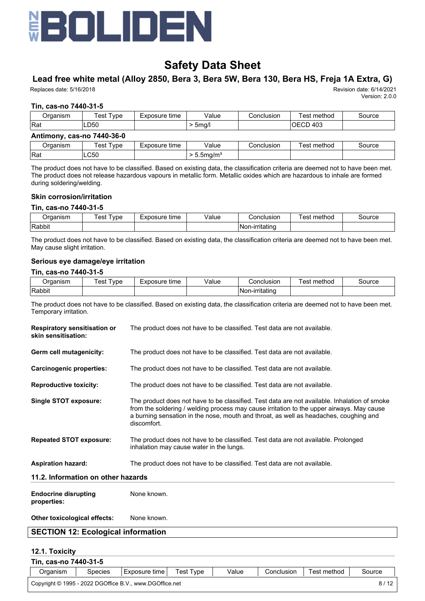

 $\vert$ Rat  $\vert$  LC50  $\vert$  > 5.5mg/m<sup>3</sup>

# **Safety Data Sheet**

# **Lead free white metal (Alloy 2850, Bera 3, Bera 5W, Bera 130, Bera HS, Freja 1A Extra, G)**

Replaces date: 5/16/2018 Revision date: 6/14/2021

Version: 2.0.0

#### **Tin, cas-no 7440-31-5**

| Organism                   | Test Type | Exposure time | Value     | Conclusion<br>Test method |             | Source |
|----------------------------|-----------|---------------|-----------|---------------------------|-------------|--------|
| <b>Rat</b>                 | LD50      |               | $>$ 5mg/l | IOECD 403                 |             |        |
| Antimony, cas-no 7440-36-0 |           |               |           |                           |             |        |
| Organism                   | Test Type | Exposure time | Value     | Conclusion                | Test method | Source |

The product does not have to be classified. Based on existing data, the classification criteria are deemed not to have been met. The product does not release hazardous vapours in metallic form. Metallic oxides which are hazardous to inhale are formed during soldering/welding.

#### **Skin corrosion/irritation**

#### **Tin, cas-no 7440-31-5**

| )raanism | vpe<br>es | time<br>posure | Value | ;onclusion      | <br>method | source |
|----------|-----------|----------------|-------|-----------------|------------|--------|
| Rabbit   |           |                |       | INon-irritating |            |        |

The product does not have to be classified. Based on existing data, the classification criteria are deemed not to have been met. May cause slight irritation.

#### **Serious eye damage/eye irritation**

#### **Tin, cas-no 7440-31-5**

| ⊃rɑanısm | vpe<br>'est | Exposure<br>time | √alue | Conclusion             | method<br>es | ource' |
|----------|-------------|------------------|-------|------------------------|--------------|--------|
| Rabbit   |             |                  |       | . .<br> Non-irritating |              |        |

The product does not have to be classified. Based on existing data, the classification criteria are deemed not to have been met. Temporary irritation.

| <b>Respiratory sensitisation or</b><br>skin sensitisation: | The product does not have to be classified. Test data are not available.                                                                                                                                                                                                                          |
|------------------------------------------------------------|---------------------------------------------------------------------------------------------------------------------------------------------------------------------------------------------------------------------------------------------------------------------------------------------------|
| Germ cell mutagenicity:                                    | The product does not have to be classified. Test data are not available.                                                                                                                                                                                                                          |
| <b>Carcinogenic properties:</b>                            | The product does not have to be classified. Test data are not available.                                                                                                                                                                                                                          |
| <b>Reproductive toxicity:</b>                              | The product does not have to be classified. Test data are not available.                                                                                                                                                                                                                          |
| Single STOT exposure:                                      | The product does not have to be classified. Test data are not available. Inhalation of smoke<br>from the soldering / welding process may cause irritation to the upper airways. May cause<br>a burning sensation in the nose, mouth and throat, as well as headaches, coughing and<br>discomfort. |
| <b>Repeated STOT exposure:</b>                             | The product does not have to be classified. Test data are not available. Prolonged<br>inhalation may cause water in the lungs.                                                                                                                                                                    |
| <b>Aspiration hazard:</b>                                  | The product does not have to be classified. Test data are not available.                                                                                                                                                                                                                          |
| 11.2. Information on other hazards                         |                                                                                                                                                                                                                                                                                                   |
| <b>Endocrine disrupting</b><br>properties:                 | None known.                                                                                                                                                                                                                                                                                       |
| Other toxicological effects:                               | None known.                                                                                                                                                                                                                                                                                       |

#### **SECTION 12: Ecological information**

#### **12.1. Toxicity**

| Tin, cas-no 7440-31-5 |                |                                                         |           |       |            |             |        |  |  |  |  |
|-----------------------|----------------|---------------------------------------------------------|-----------|-------|------------|-------------|--------|--|--|--|--|
| Organism              | <b>Species</b> | Exposure time                                           | Test Type | Value | Conclusion | Test method | Source |  |  |  |  |
|                       |                | Copyright © 1995 - 2022 DGOffice B.V., www.DGOffice.net |           |       |            |             | 8/12   |  |  |  |  |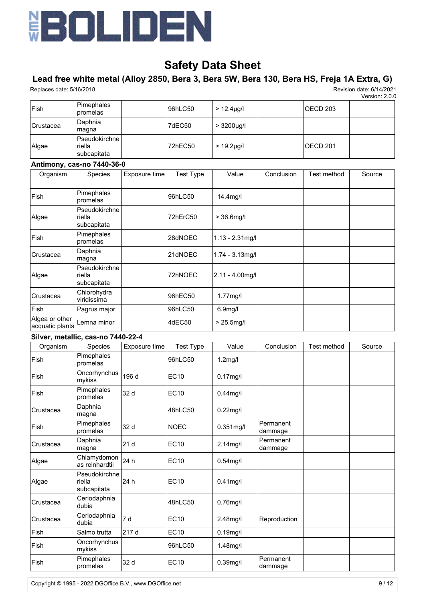

# **Lead free white metal (Alloy 2850, Bera 3, Bera 5W, Bera 130, Bera HS, Freja 1A Extra, G)**

Replaces date: 5/16/2018 Revision date: 6/14/2021

Version: 2.0.0

| <b>Fish</b>      | Pimephales<br>promelas                   | 96hLC50 | $> 12.4 \mu q/l$ | IOECD 203 |  |
|------------------|------------------------------------------|---------|------------------|-----------|--|
| <b>Crustacea</b> | Daphnia<br>∣maqna                        | 7dEC50  | $> 3200 \mu g/l$ |           |  |
| Algae            | Pseudokirchne l<br>riella<br>subcapitata | 72hEC50 | $> 19.2 \mu g/l$ | IOECD 201 |  |

### **Antimony, cas-no 7440-36-0**

| Organism                          | Species                                        | Exposure time | <b>Test Type</b> | Value                | Conclusion | Test method | Source |
|-----------------------------------|------------------------------------------------|---------------|------------------|----------------------|------------|-------------|--------|
|                                   |                                                |               |                  |                      |            |             |        |
| Fish                              | Pimephales<br>promelas                         |               | 96hLC50          | 14.4 <sub>mq</sub>   |            |             |        |
| Algae                             | Pseudokirchne<br>riella<br>subcapitata         |               | 72hErC50         | $> 36.6$ mg/l        |            |             |        |
| <b>Fish</b>                       | Pimephales<br>promelas                         |               | 28dNOEC          | $1.13 - 2.31$ mg/l   |            |             |        |
| Crustacea                         | Daphnia<br>∣magna                              |               | 21dNOEC          | $1.74 - 3.13$ mg/l   |            |             |        |
| Algae                             | <b>Pseudokirchne</b><br>riella<br> subcapitata |               | 72hNOEC          | $2.11 - 4.00$ mg/l   |            |             |        |
| Crustacea                         | Chlorohydra<br>viridissima                     |               | 96hEC50          | $1.77$ mg/l          |            |             |        |
| Fish                              | Pagrus major                                   |               | 96hLC50          | 6.9 <sub>mg</sub> /l |            |             |        |
| Algea or other<br>acquatic plants | Lemna minor                                    |               | 4dEC50           | $> 25.5$ mg/l        |            |             |        |

### **Silver, metallic, cas-no 7440-22-4**

| Organism    | Species                                | Exposure time | <b>Test Type</b> | Value        | Conclusion           | Test method | Source |
|-------------|----------------------------------------|---------------|------------------|--------------|----------------------|-------------|--------|
| <b>Fish</b> | Pimephales<br>promelas                 |               | 96hLC50          | $1.2$ mg/l   |                      |             |        |
| Fish        | Oncorhynchus<br>mykiss                 | 196 d         | <b>EC10</b>      | $0.17$ mg/l  |                      |             |        |
| Fish        | Pimephales<br>promelas                 | 32 d          | <b>EC10</b>      | $0.44$ mg/l  |                      |             |        |
| Crustacea   | Daphnia<br>magna                       |               | 48hLC50          | $0.22$ mg/l  |                      |             |        |
| Fish        | Pimephales<br>promelas                 | 32 d          | <b>NOEC</b>      | $0.351$ mg/l | Permanent<br>dammage |             |        |
| Crustacea   | Daphnia<br>magna                       | 21 d          | <b>EC10</b>      | $2.14$ mg/l  | Permanent<br>dammage |             |        |
| Algae       | Chlamydomon<br>as reinhardtii          | 24 h          | <b>EC10</b>      | $0.54$ mg/l  |                      |             |        |
| Algae       | Pseudokirchne<br>riella<br>subcapitata | 24 h          | <b>EC10</b>      | $0.41$ mg/l  |                      |             |        |
| Crustacea   | Ceriodaphnia<br>dubia                  |               | 48hLC50          | $0.76$ mg/l  |                      |             |        |
| Crustacea   | Ceriodaphnia<br>dubia                  | 7 d           | <b>EC10</b>      | 2.48mg/l     | Reproduction         |             |        |
| Fish        | Salmo trutta                           | 217 d         | <b>EC10</b>      | $0.19$ mg/l  |                      |             |        |
| Fish        | Oncorhynchus<br>mykiss                 |               | 96hLC50          | 1.48mg/l     |                      |             |        |
| Fish        | Pimephales<br>promelas                 | 32 d          | <b>EC10</b>      | $0.39$ mg/l  | Permanent<br>dammage |             |        |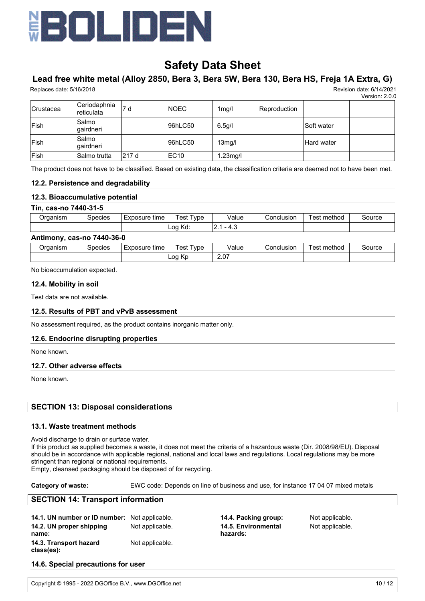

# **Lead free white metal (Alloy 2850, Bera 3, Bera 5W, Bera 130, Bera HS, Freja 1A Extra, G)**

Replaces date: 5/16/2018 Revision date: 6/14/2021

Version: 2.0.0

| <b>Crustacea</b> | Ceriodaphnia<br>reticulata | 7 d   | <b>INOEC</b>     | 1mq/l               | Reproduction |                   |  |
|------------------|----------------------------|-------|------------------|---------------------|--------------|-------------------|--|
| <b>Fish</b>      | Salmo<br> qairdneri        |       | 96hLC50          | 6.5q/l              |              | <b>Soft water</b> |  |
| <b>Fish</b>      | Salmo<br>lgairdneri        |       | 96hLC50          | 13 <sub>mg</sub> /l |              | Hard water        |  |
| <b>Fish</b>      | Salmo trutta               | 217 d | EC <sub>10</sub> | $1.23$ mg/l         |              |                   |  |

The product does not have to be classified. Based on existing data, the classification criteria are deemed not to have been met.

#### **12.2. Persistence and degradability**

### **12.3. Bioaccumulative potential**

#### **Tin, cas-no 7440-31-5**

| ′ )rɑanısm | ipecies | Exposure<br>tıme | ! est<br>' vpe      | Value           | Conclusion | : method<br>'est | source |
|------------|---------|------------------|---------------------|-----------------|------------|------------------|--------|
|            |         |                  | .∟00 ′<br>v<br>rvu. | т. с<br>.<br>__ |            |                  |        |

#### **Antimony, cas-no 7440-36-0**

| Organism | Species | time<br>-xposure | vpe<br>'est               | Value | Conclusion | method<br>'est | Source |
|----------|---------|------------------|---------------------------|-------|------------|----------------|--------|
|          |         |                  | . <i>. .</i><br>∟oa<br>rν | 2.07  |            |                |        |

No bioaccumulation expected.

#### **12.4. Mobility in soil**

Test data are not available.

#### **12.5. Results of PBT and vPvB assessment**

No assessment required, as the product contains inorganic matter only.

#### **12.6. Endocrine disrupting properties**

None known.

#### **12.7. Other adverse effects**

None known.

### **SECTION 13: Disposal considerations**

#### **13.1. Waste treatment methods**

Avoid discharge to drain or surface water.

If this product as supplied becomes a waste, it does not meet the criteria of a hazardous waste (Dir. 2008/98/EU). Disposal should be in accordance with applicable regional, national and local laws and regulations. Local regulations may be more stringent than regional or national requirements.

Empty, cleansed packaging should be disposed of for recycling.

#### **Category of waste:** EWC code: Depends on line of business and use, for instance 17 04 07 mixed metals

#### **SECTION 14: Transport information**

| 14.1. UN number or ID number: Not applicable. |                 |
|-----------------------------------------------|-----------------|
| 14.2. UN proper shipping                      | Not applicable. |
| name:                                         |                 |
| 14.3. Transport hazard                        | Not applicable. |
| class(es):                                    |                 |

**14.4. Packing group:** Not applicable. **14.5. Environmental hazards:**

Not applicable.

#### **14.6. Special precautions for user**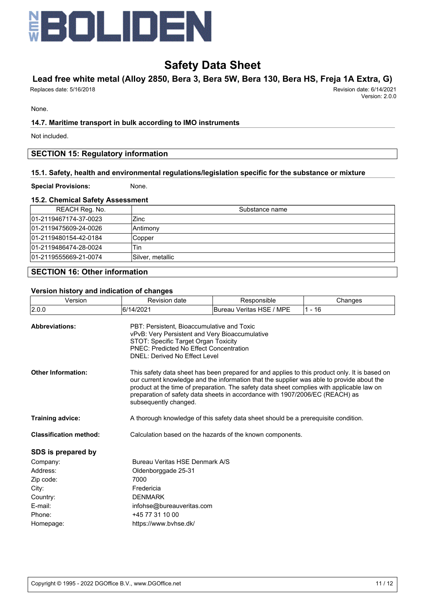

# **Lead free white metal (Alloy 2850, Bera 3, Bera 5W, Bera 130, Bera HS, Freja 1A Extra, G)**

Replaces date: 5/16/2018 Revision date: 6/14/2021

Version: 2.0.0

None.

## **14.7. Maritime transport in bulk according to IMO instruments**

Not included.

## **SECTION 15: Regulatory information**

## **15.1. Safety, health and environmental regulations/legislation specific for the substance or mixture**

#### **Special Provisions:** None.

#### **15.2. Chemical Safety Assessment**

| REACH Reg. No.        | Substance name   |
|-----------------------|------------------|
| 01-2119467174-37-0023 | Zinc             |
| 01-2119475609-24-0026 | Antimony         |
| 01-2119480154-42-0184 | Copper           |
| 01-2119486474-28-0024 | Tin              |
| 01-2119555669-21-0074 | Silver, metallic |
|                       |                  |

# **SECTION 16: Other information**

#### **Version history and indication of changes**

|                                                                                                                                                                                                                                                                                                                                                                                                  |                            | Changes                                 |  |  |  |  |
|--------------------------------------------------------------------------------------------------------------------------------------------------------------------------------------------------------------------------------------------------------------------------------------------------------------------------------------------------------------------------------------------------|----------------------------|-----------------------------------------|--|--|--|--|
|                                                                                                                                                                                                                                                                                                                                                                                                  |                            | $1 - 16$                                |  |  |  |  |
| PBT: Persistent. Bioaccumulative and Toxic<br>vPvB: Very Persistent and Very Bioaccumulative<br>STOT: Specific Target Organ Toxicity<br><b>PNEC: Predicted No Effect Concentration</b><br><b>DNEL: Derived No Effect Level</b>                                                                                                                                                                   |                            |                                         |  |  |  |  |
| This safety data sheet has been prepared for and applies to this product only. It is based on<br>our current knowledge and the information that the supplier was able to provide about the<br>product at the time of preparation. The safety data sheet complies with applicable law on<br>preparation of safety data sheets in accordance with 1907/2006/EC (REACH) as<br>subsequently changed. |                            |                                         |  |  |  |  |
| A thorough knowledge of this safety data sheet should be a prerequisite condition.                                                                                                                                                                                                                                                                                                               |                            |                                         |  |  |  |  |
| Calculation based on the hazards of the known components.                                                                                                                                                                                                                                                                                                                                        |                            |                                         |  |  |  |  |
|                                                                                                                                                                                                                                                                                                                                                                                                  |                            |                                         |  |  |  |  |
| Bureau Veritas HSE Denmark A/S                                                                                                                                                                                                                                                                                                                                                                   |                            |                                         |  |  |  |  |
| Oldenborggade 25-31                                                                                                                                                                                                                                                                                                                                                                              |                            |                                         |  |  |  |  |
| 7000                                                                                                                                                                                                                                                                                                                                                                                             |                            |                                         |  |  |  |  |
| Fredericia                                                                                                                                                                                                                                                                                                                                                                                       |                            |                                         |  |  |  |  |
| <b>DENMARK</b>                                                                                                                                                                                                                                                                                                                                                                                   |                            |                                         |  |  |  |  |
| infohse@bureauveritas.com                                                                                                                                                                                                                                                                                                                                                                        |                            |                                         |  |  |  |  |
| +45 77 31 10 00                                                                                                                                                                                                                                                                                                                                                                                  |                            |                                         |  |  |  |  |
| https://www.bvhse.dk/                                                                                                                                                                                                                                                                                                                                                                            |                            |                                         |  |  |  |  |
|                                                                                                                                                                                                                                                                                                                                                                                                  | Revision date<br>6/14/2021 | Responsible<br>Bureau Veritas HSE / MPE |  |  |  |  |